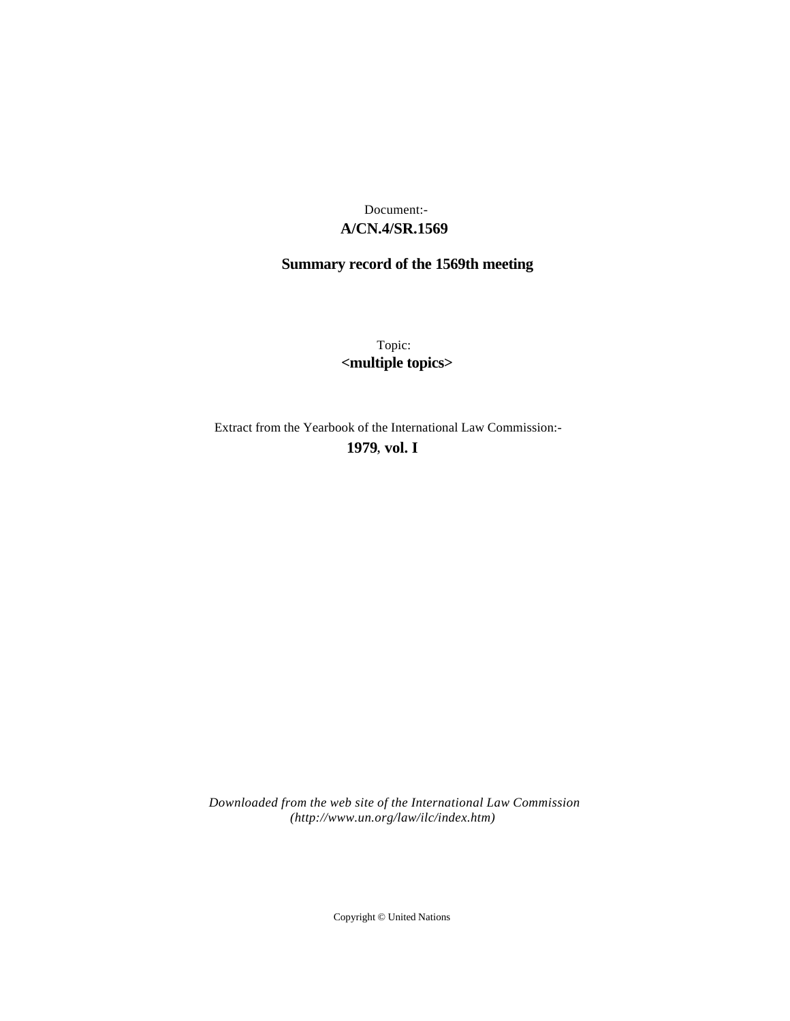## **A/CN.4/SR.1569** Document:-

# **Summary record of the 1569th meeting**

Topic: **<multiple topics>**

Extract from the Yearbook of the International Law Commission:-

**1979** , **vol. I**

*Downloaded from the web site of the International Law Commission (http://www.un.org/law/ilc/index.htm)*

Copyright © United Nations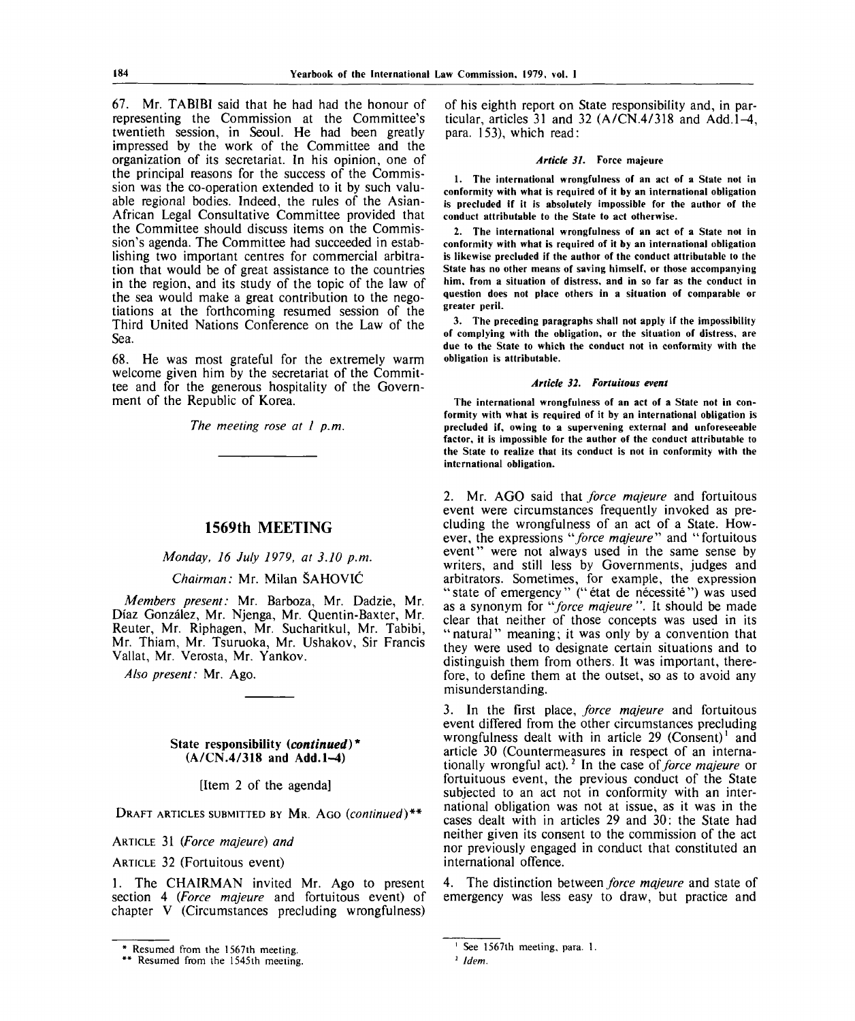67. Mr. TABIBI said that he had had the honour of representing the Commission at the Committee's twentieth session, in Seoul. He had been greatly impressed by the work of the Committee and the organization of its secretariat. In his opinion, one of the principal reasons for the success of the Commission was the co-operation extended to it by such valuable regional bodies. Indeed, the rules of the Asian-African Legal Consultative Committee provided that the Committee should discuss items on the Commission's agenda. The Committee had succeeded in establishing two important centres for commercial arbitration that would be of great assistance to the countries in the region, and its study of the topic of the law of the sea would make a great contribution to the negotiations at the forthcoming resumed session of the Third United Nations Conference on the Law of the Sea.

68. He was most grateful for the extremely warm welcome given him by the secretariat of the Committee and for the generous hospitality of the Government of the Republic of Korea.

*The meeting rose at 1 p.m.*

### **1569th MEETING**

*Monday, 16 July 1979, at 3.10 p.m.*

*Chairman:* Mr. Milan SAHOVIC

*Members present:* Mr. Barboza, Mr. Dadzie, Mr. Diaz Gonzalez, Mr. Njenga, Mr. Quentin-Baxter, Mr. Reuter, Mr. Riphagen, Mr. Sucharitkul, Mr. Tabibi, Mr. Thiam, Mr. Tsuruoka, Mr. Ushakov, Sir Francis Vallat, Mr. Verosta, Mr. Yankov.

*Also present:* Mr. Ago.

#### **State responsibility** *{continued)\** **(A/CN.4/318 and Add.l-^l)**

[Item 2 of the agenda]

DRAFT ARTICLES SUBMITTED BY MR. AGO *(continued)\*\**

ARTICLE 31 *(Force majeure) and*

ARTICLE 32 (Fortuitous event)

1. The CHAIRMAN invited Mr. Ago to present section 4 *(Force majeure* and fortuitous event) of chapter V (Circumstances precluding wrongfulness) of his eighth report on State responsibility and, in particular, articles 31 and 32  $(A/CN.4/318$  and Add.  $1-4$ , para. 153), which read:

#### *Article 31.* **Force majeure**

**1. The international wrongfulness of an act of a State not in conformity with what is required of it by an international obligation is precluded if it is absolutely impossible for the author of the conduct attributable to the State to act otherwise.**

**2. The international wrongfulness of an act of a State not in conformity with what is required of it by an international obligation is likewise precluded if the author of the conduct attributable to the State has no other means of saving himself, or those accompanying him, from a situation of distress, and in so far as the conduct in question does not place others in a situation of comparable or greater peril.**

**3. The preceding paragraphs shall not apply if the impossibility of complying with the obligation, or the situation of distress, are due to the State to which the conduct not in conformity with the obligation is attributable.**

#### *Article 32. Fortuitous event*

**The international wrongfulness of an act of a State not in conformity with what is required of it by an international obligation is precluded if, owing to a supervening external and unforeseeable factor, it is impossible for the author of the conduct attributable to the State to realize that its conduct is not in conformity with the international obligation.**

2. Mr. AGO said that *force majeure* and fortuitous event were circumstances frequently invoked as precluding the wrongfulness of an act of a State. However, the expressions *"force majeure''''* and "fortuitous event" were not always used in the same sense by writers, and still less by Governments, judges and arbitrators. Sometimes, for example, the expression "state of emergency" ("état de nécessité") was used as a synonym for *force majeure ".* It should be made clear that neither of those concepts was used in its " natural" meaning; it was only by a convention that they were used to designate certain situations and to distinguish them from others. It was important, therefore, to define them at the outset, so as to avoid any misunderstanding.

3. In the first place, *force majeure* and fortuitous event differed from the other circumstances precluding wrongfulness dealt with in article  $29$  (Consent)<sup>1</sup> and article 30 (Countermeasures in respect of an internationally wrongful act).<sup>2</sup> In the case *of force majeure* or fortuituous event, the previous conduct of the State subjected to an act not in conformity with an international obligation was not at issue, as it was in the cases dealt with in articles 29 and 30: the State had neither given its consent to the commission of the act nor previously engaged in conduct that constituted an international offence.

4. The distinction between *force majeure* and state of emergency was less easy to draw, but practice and

**Resumed from the 1567th meeting.**

*<sup>\*</sup>* **Resumed from the 1545th meeting.**

**See 1567th meeting, para. 1.**

*Idem.*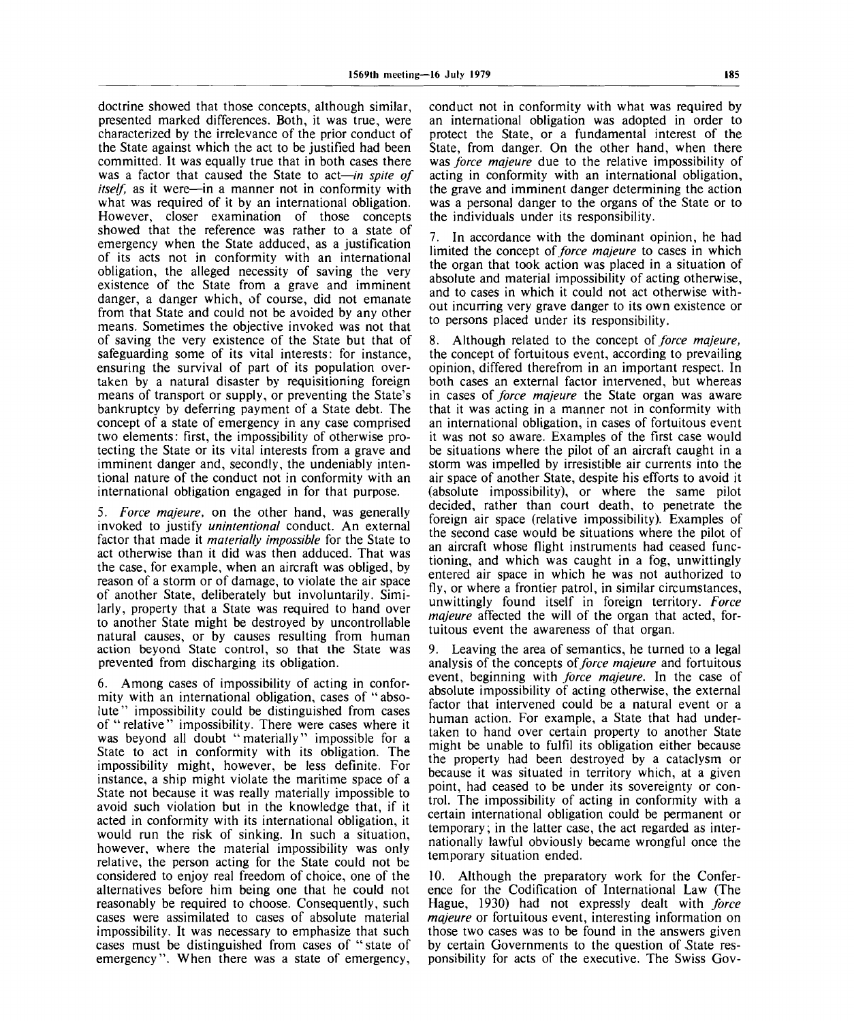doctrine showed that those concepts, although similar, presented marked differences. Both, it was true, were characterized by the irrelevance of the prior conduct of the State against which the act to be justified had been committed. It was equally true that in both cases there was a factor that caused the State to act—*in spite of itself,* as it were—in a manner not in conformity with what was required of it by an international obligation. However, closer examination of those concepts showed that the reference was rather to a state of emergency when the State adduced, as a justification of its acts not in conformity with an international obligation, the alleged necessity of saving the very existence of the State from a grave and imminent danger, a danger which, of course, did not emanate from that State and could not be avoided by any other means. Sometimes the objective invoked was not that of saving the very existence of the State but that of safeguarding some of its vital interests: for instance, ensuring the survival of part of its population overtaken by a natural disaster by requisitioning foreign means of transport or supply, or preventing the State's bankruptcy by deferring payment of a State debt. The concept of a state of emergency in any case comprised two elements: first, the impossibility of otherwise protecting the State or its vital interests from a grave and imminent danger and, secondly, the undeniably intentional nature of the conduct not in conformity with an international obligation engaged in for that purpose.

5. *Force majeure,* on the other hand, was generally invoked to justify *unintentional* conduct. An external factor that made it *materially impossible* for the State to act otherwise than it did was then adduced. That was the case, for example, when an aircraft was obliged, by reason of a storm or of damage, to violate the air space of another State, deliberately but involuntarily. Similarly, property that a State was required to hand over to another State might be destroyed by uncontrollable natural causes, or by causes resulting from human action beyond State control, so that the State was prevented from discharging its obligation.

6. Among cases of impossibility of acting in conformity with an international obligation, cases of " absolute" impossibility could be distinguished from cases of "relative" impossibility. There were cases where it was beyond all doubt "materially" impossible for a State to act in conformity with its obligation. The impossibility might, however, be less definite. For instance, a ship might violate the maritime space of a State not because it was really materially impossible to avoid such violation but in the knowledge that, if it acted in conformity with its international obligation, it would run the risk of sinking. In such a situation, however, where the material impossibility was only relative, the person acting for the State could not be considered to enjoy real freedom of choice, one of the alternatives before him being one that he could not reasonably be required to choose. Consequently, such cases were assimilated to cases of absolute material impossibility. It was necessary to emphasize that such cases must be distinguished from cases of "state of emergency". When there was a state of emergency,

conduct not in conformity with what was required by an international obligation was adopted in order to protect the State, or a fundamental interest of the State, from danger. On the other hand, when there was *force majeure* due to the relative impossibility of acting in conformity with an international obligation, the grave and imminent danger determining the action was a personal danger to the organs of the State or to the individuals under its responsibility.

7. In accordance with the dominant opinion, he had limited the concept *of force majeure* to cases in which the organ that took action was placed in a situation of absolute and material impossibility of acting otherwise, and to cases in which it could not act otherwise without incurring very grave danger to its own existence or to persons placed under its responsibility.

8. Although related to the concept *of force majeure,* the concept of fortuitous event, according to prevailing opinion, differed therefrom in an important respect. In both cases an external factor intervened, but whereas in cases *of force majeure* the State organ was aware that it was acting in a manner not in conformity with an international obligation, in cases of fortuitous event it was not so aware. Examples of the first case would be situations where the pilot of an aircraft caught in a storm was impelled by irresistible air currents into the air space of another State, despite his efforts to avoid it (absolute impossibility), or where the same pilot decided, rather than court death, to penetrate the foreign air space (relative impossibility). Examples of the second case would be situations where the pilot of an aircraft whose flight instruments had ceased functioning, and which was caught in a fog, unwittingly entered air space in which he was not authorized to fly, or where a frontier patrol, in similar circumstances, unwittingly found itself in foreign territory. *Force majeure* affected the will of the organ that acted, fortuitous event the awareness of that organ.

9. Leaving the area of semantics, he turned to a legal analysis of the concepts *of force majeure* and fortuitous event, beginning with *force majeure.* In the case of absolute impossibility of acting otherwise, the external factor that intervened could be a natural event or a human action. For example, a State that had undertaken to hand over certain property to another State might be unable to fulfil its obligation either because the property had been destroyed by a cataclysm or because it was situated in territory which, at a given point, had ceased to be under its sovereignty or control. The impossibility of acting in conformity with a certain international obligation could be permanent or temporary; in the latter case, the act regarded as internationally lawful obviously became wrongful once the temporary situation ended.

10. Although the preparatory work for the Conference for the Codification of International Law (The Hague, 1930) had not expressly dealt with *force majeure* or fortuitous event, interesting information on those two cases was to be found in the answers given by certain Governments to the question of State responsibility for acts of the executive. The Swiss Gov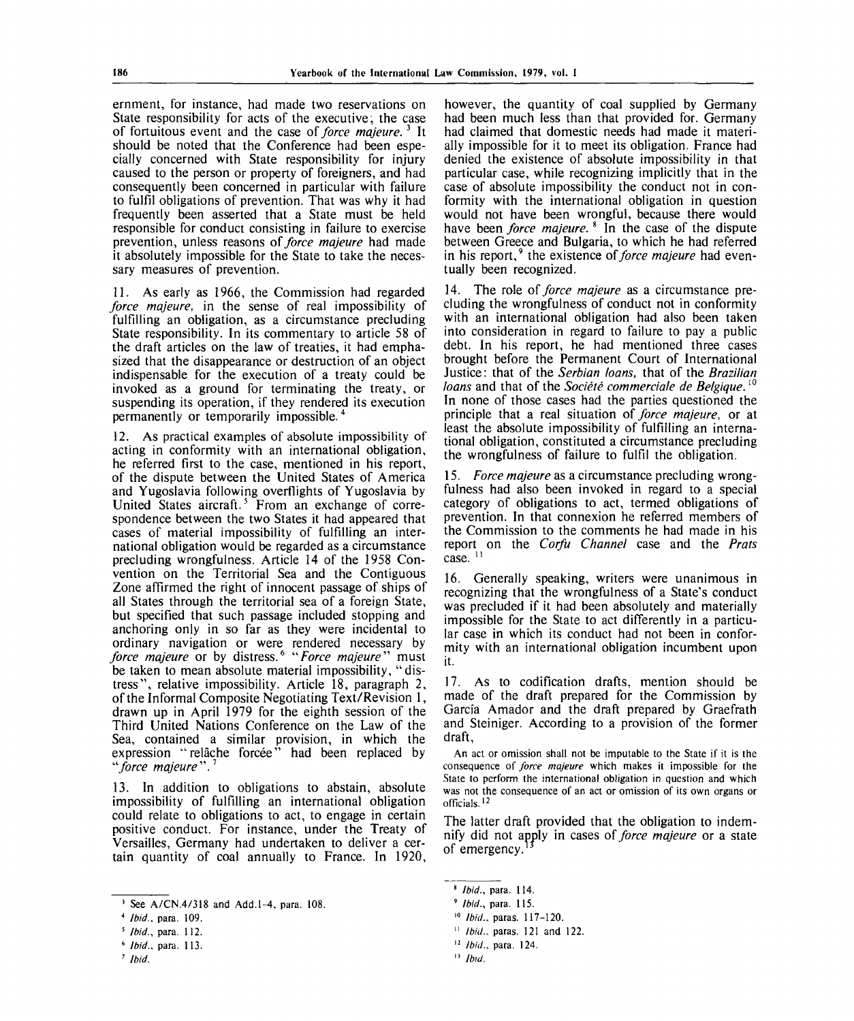ernment, for instance, had made two reservations on State responsibility for acts of the executive, the case of fortuitous event and the case *of force majeure.*<sup>3</sup> It should be noted that the Conference had been especially concerned with State responsibility for injury caused to the person or property of foreigners, and had consequently been concerned in particular with failure to fulfil obligations of prevention. That was why it had frequently been asserted that a State must be held responsible for conduct consisting in failure to exercise prevention, unless reasons *of force majeure* had made it absolutely impossible for the State to take the necessary measures of prevention.

11. As early as 1966, the Commission had regarded *force majeure,* in the sense of real impossibility of fulfilling an obligation, as a circumstance precluding State responsibility. In its commentary to article 58 of the draft articles on the law of treaties, it had emphasized that the disappearance or destruction of an object indispensable for the execution of a treaty could be invoked as a ground for terminating the treaty, or suspending its operation, if they rendered its execution permanently or temporarily impossible.<sup>4</sup>

12. As practical examples of absolute impossibility of acting in conformity with an international obligation, he referred first to the case, mentioned in his report, of the dispute between the United States of America and Yugoslavia following overflights of Yugoslavia by United States aircraft.<sup>5</sup> From an exchange of correspondence between the two States it had appeared that cases of material impossibility of fulfilling an international obligation would be regarded as a circumstance precluding wrongfulness. Article 14 of the 1958 Convention on the Territorial Sea and the Contiguous Zone affirmed the right of innocent passage of ships of all States through the territorial sea of a foreign State, but specified that such passage included stopping and anchoring only in so far as they were incidental to ordinary navigation or were rendered necessary by *force majeure* or by distress.<sup>6</sup> "*Force majeure*" must be taken to mean absolute material impossibility, "distress", relative impossibility. Article 18, paragraph 2, of the Informal Composite Negotiating Text/Revision 1, drawn up in April 1979 for the eighth session of the Third United Nations Conference on the Law of the Sea, contained a similar provision, in which the expression "relache forcee" had been replaced by *"force majeure".<sup>1</sup>*

13. In addition to obligations to abstain, absolute impossibility of fulfilling an international obligation could relate to obligations to act, to engage in certain positive conduct. For instance, under the Treaty of Versailles, Germany had undertaken to deliver a certain quantity of coal annually to France. In 1920,

however, the quantity of coal supplied by Germany had been much less than that provided for. Germany had claimed that domestic needs had made it materially impossible for it to meet its obligation. France had denied the existence of absolute impossibility in that particular case, while recognizing implicitly that in the case of absolute impossibility the conduct not in conformity with the international obligation in question would not have been wrongful, because there would have been *force majeure.*<sup>8</sup> In the case of the dispute between Greece and Bulgaria, to which he had referred in his report,<sup>9</sup> the existence of *force majeure* had eventually been recognized.

14. The role of *force majeure* as a circumstance precluding the wrongfulness of conduct not in conformity with an international obligation had also been taken into consideration in regard to failure to pay a public debt. In his report, he had mentioned three cases brought before the Permanent Court of International Justice: that of the *Serbian loans,* that of the *Brazilian loans* and that of the *Société commerciale de Belgique*.<sup>10</sup> In none of those cases had the parties questioned the principle that a real situation *of force majeure,* or at least the absolute impossibility of fulfilling an international obligation, constituted a circumstance precluding the wrongfulness of failure to fulfil the obligation.

15. *Force majeure* as a circumstance precluding wrongfulness had also been invoked in regard to a special category of obligations to act, termed obligations of prevention. In that connexion he referred members of the Commission to the comments he had made in his report on the *Corfu Channel* case and the *Prats* case.<sup>11</sup>

16. Generally speaking, writers were unanimous in recognizing that the wrongfulness of a State's conduct was precluded if it had been absolutely and materially impossible for the State to act differently in a particular case in which its conduct had not been in conformity with an international obligation incumbent upon it.

17. As to codification drafts, mention should be made of the draft prepared for the Commission by Garcia Amador and the draft prepared by Graefrath and Steiniger. According to a provision of the former draft,

An act or omission shall not be imputable to the State if it is the consequence of *force majeure* which makes it impossible for the State to perform the international obligation in question and which was not the consequence of an act or omission of its own organs or officials.<sup>12</sup>

The latter draft provided that the obligation to indemnify did not apply in cases of *force majeure* or a state of emergency.

11  *Ibid.,* paras. 121 and 122.

 $3$  See A/CN.4/318 and Add.1-4, para. 108.

*Ibid.,* para. 109.

*Ibid.,* para. 112.

*Ibid.,* para. 113.

*Ibid.*

<sup>8</sup>  *Ibid.,* para. 114.

<sup>9</sup>  *Ibid.,* para. 115.

<sup>10</sup>  *Ibid.,* paras. 117-120.

<sup>12</sup>  *Ibid.,* para. 124.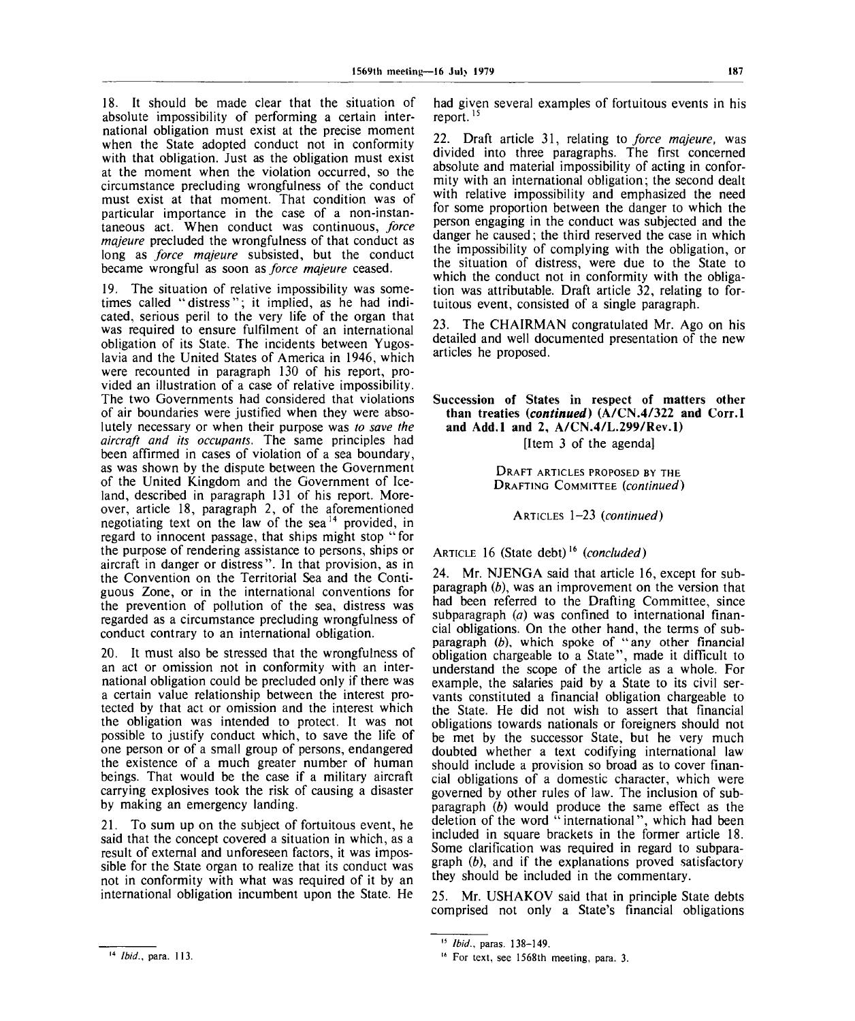18. It should be made clear that the situation of absolute impossibility of performing a certain international obligation must exist at the precise moment when the State adopted conduct not in conformity with that obligation. Just as the obligation must exist at the moment when the violation occurred, so the circumstance precluding wrongfulness of the conduct must exist at that moment. That condition was of particular importance in the case of a non-instantaneous act. When conduct was continuous, *force majeure* precluded the wrongfulness of that conduct as long as *force majeure* subsisted, but the conduct became wrongful as soon *as force majeure* ceased.

19. The situation of relative impossibility was sometimes called "distress"; it implied, as he had indicated, serious peril to the very life of the organ that was required to ensure fulfilment of an international obligation of its State. The incidents between Yugoslavia and the United States of America in 1946, which were recounted in paragraph 130 of his report, provided an illustration of a case of relative impossibility. The two Governments had considered that violations of air boundaries were justified when they were absolutely necessary or when their purpose was *to save the aircraft and its occupants.* The same principles had been affirmed in cases of violation of a sea boundary, as was shown by the dispute between the Government of the United Kingdom and the Government of Iceland, described in paragraph 131 of his report. Moreover, article 18, paragraph 2, of the aforementioned negotiating text on the law of the  $sea$ <sup>14</sup> provided, in regard to innocent passage, that ships might stop "for the purpose of rendering assistance to persons, ships or aircraft in danger or distress". In that provision, as in the Convention on the Territorial Sea and the Contiguous Zone, or in the international conventions for the prevention of pollution of the sea, distress was regarded as a circumstance precluding wrongfulness of conduct contrary to an international obligation.

20. It must also be stressed that the wrongfulness of an act or omission not in conformity with an international obligation could be precluded only if there was a certain value relationship between the interest protected by that act or omission and the interest which the obligation was intended to protect. It was not possible to justify conduct which, to save the life of one person or of a small group of persons, endangered the existence of a much greater number of human beings. That would be the case if a military aircraft carrying explosives took the risk of causing a disaster by making an emergency landing.

21. To sum up on the subject of fortuitous event, he said that the concept covered a situation in which, as a result of external and unforeseen factors, it was impossible for the State organ to realize that its conduct was not in conformity with what was required of it by an international obligation incumbent upon the State. He had given several examples of fortuitous events in his report.<sup>15</sup>

22. Draft article 31, relating to *force majeure,* was divided into three paragraphs. The first concerned absolute and material impossibility of acting in conformity with an international obligation; the second dealt with relative impossibility and emphasized the need for some proportion between the danger to which the person engaging in the conduct was subjected and the danger he caused; the third reserved the case in which the impossibility of complying with the obligation, or the situation of distress, were due to the State to which the conduct not in conformity with the obligation was attributable. Draft article 32, relating to fortuitous event, consisted of a single paragraph.

23. The CHAIRMAN congratulated Mr. Ago on his detailed and well documented presentation of the new articles he proposed.

Succession of States in respect **of** matters other **than** treaties *(continued)* (A/CN.4/322 **and Corr.l and Add.l and** 2, **A/CN.4/L.299/Rev.l)** [Item 3 of the agenda]

DRAFT ARTICLES PROPOSED BY THE DRAFTING COMMITTEE *(continued)*

ARTICLES 1-23 *(continued)*

ARTICLE 16 (State debt)<sup>16</sup> (concluded)

24. Mr. NJENGA said that article 16, except for subparagraph *(b),* was an improvement on the version that had been referred to the Drafting Committee, since subparagraph *(a)* was confined to international financial obligations. On the other hand, the terms of subparagraph *(b),* which spoke of "any other financial obligation chargeable to a State", made it difficult to understand the scope of the article as a whole. For example, the salaries paid by a State to its civil servants constituted a financial obligation chargeable to the State. He did not wish to assert that financial obligations towards nationals or foreigners should not be met by the successor State, but he very much doubted whether a text codifying international law should include a provision so broad as to cover financial obligations of a domestic character, which were governed by other rules of law. The inclusion of subparagraph *(b)* would produce the same effect as the deletion of the word "international", which had been included in square brackets in the former article 18. Some clarification was required in regard to subparagraph *(b),* and if the explanations proved satisfactory they should be included in the commentary.

25. Mr. USHAKOV said that in principle State debts comprised not only a State's financial obligations

<sup>15</sup>  *Ibid.,* paras. 138-149.

<sup>16</sup> For text, see 1568th meeting, para. 3.

<sup>14</sup>  *Ibid.,* para. 113.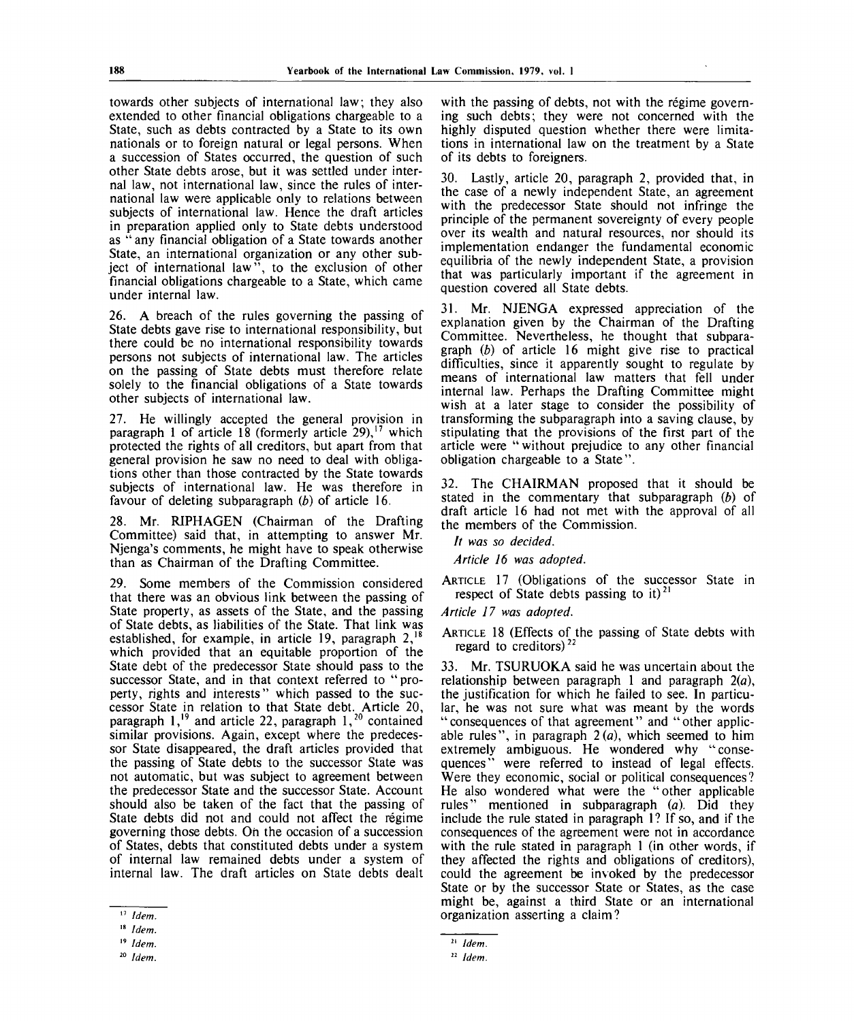towards other subjects of international law; they also extended to other financial obligations chargeable to a State, such as debts contracted by a State to its own nationals or to foreign natural or legal persons. When a succession of States occurred, the question of such other State debts arose, but it was settled under internal law, not international law, since the rules of international law were applicable only to relations between subjects of international law. Hence the draft articles in preparation applied only to State debts understood as " any financial obligation of a State towards another State, an international organization or any other subject of international law", to the exclusion of other financial obligations chargeable to a State, which came under internal law.

26. A breach of the rules governing the passing of State debts gave rise to international responsibility, but there could be no international responsibility towards persons not subjects of international law. The articles on the passing of State debts must therefore relate solely to the financial obligations of a State towards other subjects of international law.

27. He willingly accepted the general provision in paragraph 1 of article 18 (formerly article 29),<sup>17</sup> which protected the rights of all creditors, but apart from that general provision he saw no need to deal with obligations other than those contracted by the State towards subjects of international law. He was therefore in favour of deleting subparagraph *(b)* of article 16.

28. Mr. RIPHAGEN (Chairman of the Drafting Committee) said that, in attempting to answer Mr. Njenga's comments, he might have to speak otherwise than as Chairman of the Drafting Committee.

29. Some members of the Commission considered that there was an obvious link between the passing of State property, as assets of the State, and the passing of State debts, as liabilities of the State. That link was established, for example, in article 19, paragraph  $2$ ,<sup>18</sup> which provided that an equitable proportion of the State debt of the predecessor State should pass to the successor State, and in that context referred to "property, rights and interests" which passed to the successor State in relation to that State debt. Article 20, paragraph  $1$ ,<sup>19</sup> and article 22, paragraph  $1$ ,<sup>20</sup> contained similar provisions. Again, except where the predecessor State disappeared, the draft articles provided that the passing of State debts to the successor State was not automatic, but was subject to agreement between the predecessor State and the successor State. Account should also be taken of the fact that the passing of State debts did not and could not affect the regime governing those debts. On the occasion of a succession of States, debts that constituted debts under a system of internal law remained debts under a system of internal law. The draft articles on State debts dealt

with the passing of debts, not with the régime governing such debts; they were not concerned with the highly disputed question whether there were limitations in international law on the treatment by a State of its debts to foreigners.

30. Lastly, article 20, paragraph 2, provided that, in the case of a newly independent State, an agreement with the predecessor State should not infringe the principle of the permanent sovereignty of every people over its wealth and natural resources, nor should its implementation endanger the fundamental economic equilibria of the newly independent State, a provision that was particularly important if the agreement in question covered all State debts.

31. Mr. NJENGA expressed appreciation of the explanation given by the Chairman of the Drafting Committee. Nevertheless, he thought that subparagraph *(b)* of article 16 might give rise to practical difficulties, since it apparently sought to regulate by means of international law matters that fell under internal law. Perhaps the Drafting Committee might wish at a later stage to consider the possibility of transforming the subparagraph into a saving clause, by stipulating that the provisions of the first part of the article were "without prejudice to any other financial obligation chargeable to a State".

32. The CHAIRMAN proposed that it should be stated in the commentary that subparagraph *(b)* of draft article 16 had not met with the approval of all the members of the Commission.

// *was so decided.*

*Article 16 was adopted.*

ARTICLE 17 (Obligations of the successor State in respect of State debts passing to it)<sup>21</sup>

*Article 17 was adopted.*

ARTICLE 18 (Effects of the passing of State debts with regard to creditors) $^{22}$ 

33. Mr. TSURUOKA said he was uncertain about the relationship between paragraph 1 and paragraph  $2(a)$ , the justification for which he failed to see. In particular, he was not sure what was meant by the words "consequences of that agreement" and "other applicable rules", in paragraph  $2(a)$ , which seemed to him extremely ambiguous. He wondered why "consequences" were referred to instead of legal effects. Were they economic, social or political consequences? He also wondered what were the "other applicable rules" mentioned in subparagraph *(a).* Did they include the rule stated in paragraph 1? If so, and if the consequences of the agreement were not in accordance with the rule stated in paragraph 1 (in other words, if they affected the rights and obligations of creditors), could the agreement be invoked by the predecessor State or by the successor State or States, as the case might be, against a third State or an international organization asserting a claim?

<sup>17</sup>  *Idem.*

<sup>18</sup>  *Idem.*

<sup>19</sup>  *Idem.*

<sup>20</sup>  *Idem.*

<sup>21</sup>  *Idem.*

*<sup>22</sup> Idem.*